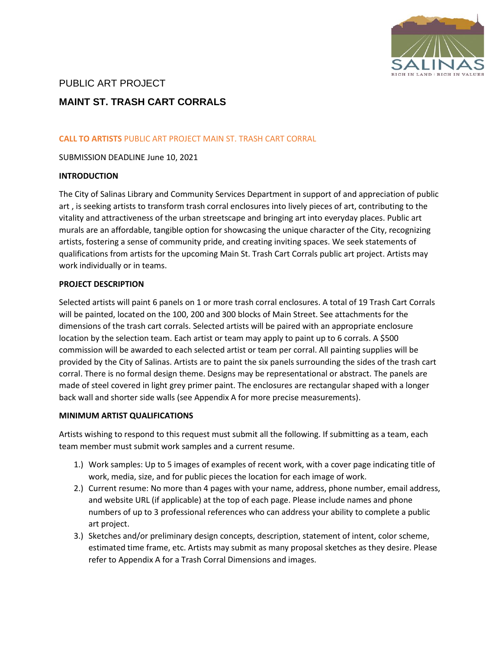

# PUBLIC ART PROJECT

# **MAINT ST. TRASH CART CORRALS**

## **CALL TO ARTISTS** PUBLIC ART PROJECT MAIN ST. TRASH CART CORRAL

SUBMISSION DEADLINE June 10, 2021

#### **INTRODUCTION**

The City of Salinas Library and Community Services Department in support of and appreciation of public art , is seeking artists to transform trash corral enclosures into lively pieces of art, contributing to the vitality and attractiveness of the urban streetscape and bringing art into everyday places. Public art murals are an affordable, tangible option for showcasing the unique character of the City, recognizing artists, fostering a sense of community pride, and creating inviting spaces. We seek statements of qualifications from artists for the upcoming Main St. Trash Cart Corrals public art project. Artists may work individually or in teams.

#### **PROJECT DESCRIPTION**

Selected artists will paint 6 panels on 1 or more trash corral enclosures. A total of 19 Trash Cart Corrals will be painted, located on the 100, 200 and 300 blocks of Main Street. See attachments for the dimensions of the trash cart corrals. Selected artists will be paired with an appropriate enclosure location by the selection team. Each artist or team may apply to paint up to 6 corrals. A \$500 commission will be awarded to each selected artist or team per corral. All painting supplies will be provided by the City of Salinas. Artists are to paint the six panels surrounding the sides of the trash cart corral. There is no formal design theme. Designs may be representational or abstract. The panels are made of steel covered in light grey primer paint. The enclosures are rectangular shaped with a longer back wall and shorter side walls (see Appendix A for more precise measurements).

#### **MINIMUM ARTIST QUALIFICATIONS**

Artists wishing to respond to this request must submit all the following. If submitting as a team, each team member must submit work samples and a current resume.

- 1.) Work samples: Up to 5 images of examples of recent work, with a cover page indicating title of work, media, size, and for public pieces the location for each image of work.
- 2.) Current resume: No more than 4 pages with your name, address, phone number, email address, and website URL (if applicable) at the top of each page. Please include names and phone numbers of up to 3 professional references who can address your ability to complete a public art project.
- 3.) Sketches and/or preliminary design concepts, description, statement of intent, color scheme, estimated time frame, etc. Artists may submit as many proposal sketches as they desire. Please refer to Appendix A for a Trash Corral Dimensions and images.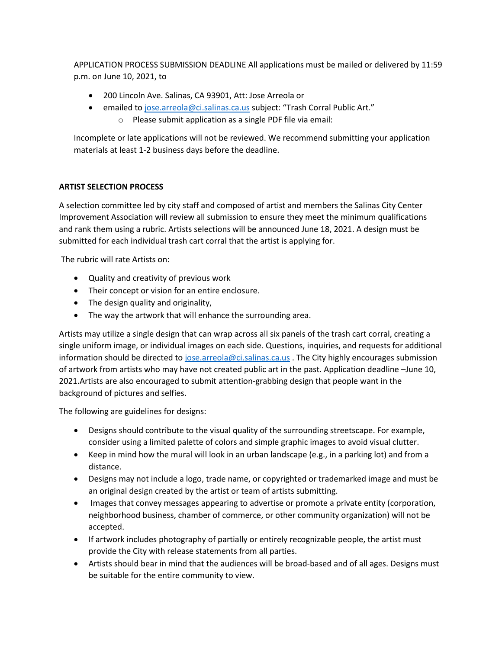APPLICATION PROCESS SUBMISSION DEADLINE All applications must be mailed or delivered by 11:59 p.m. on June 10, 2021, to

- 200 Lincoln Ave. Salinas, CA 93901, Att: Jose Arreola or
- emailed to [jose.arreola@ci.salinas.ca.us](mailto:jose.arreola@ci.salinas.ca.us) subject: "Trash Corral Public Art." o Please submit application as a single PDF file via email:

Incomplete or late applications will not be reviewed. We recommend submitting your application materials at least 1-2 business days before the deadline.

## **ARTIST SELECTION PROCESS**

A selection committee led by city staff and composed of artist and members the Salinas City Center Improvement Association will review all submission to ensure they meet the minimum qualifications and rank them using a rubric. Artists selections will be announced June 18, 2021. A design must be submitted for each individual trash cart corral that the artist is applying for.

The rubric will rate Artists on:

- Quality and creativity of previous work
- Their concept or vision for an entire enclosure.
- The design quality and originality,
- The way the artwork that will enhance the surrounding area.

Artists may utilize a single design that can wrap across all six panels of the trash cart corral, creating a single uniform image, or individual images on each side. Questions, inquiries, and requests for additional information should be directed t[o jose.arreola@ci.salinas.ca.us](mailto:jose.arreola@ci.salinas.ca.us) . The City highly encourages submission of artwork from artists who may have not created public art in the past. Application deadline –June 10, 2021.Artists are also encouraged to submit attention-grabbing design that people want in the background of pictures and selfies.

The following are guidelines for designs:

- Designs should contribute to the visual quality of the surrounding streetscape. For example, consider using a limited palette of colors and simple graphic images to avoid visual clutter.
- Keep in mind how the mural will look in an urban landscape (e.g., in a parking lot) and from a distance.
- Designs may not include a logo, trade name, or copyrighted or trademarked image and must be an original design created by the artist or team of artists submitting.
- Images that convey messages appearing to advertise or promote a private entity (corporation, neighborhood business, chamber of commerce, or other community organization) will not be accepted.
- If artwork includes photography of partially or entirely recognizable people, the artist must provide the City with release statements from all parties.
- Artists should bear in mind that the audiences will be broad-based and of all ages. Designs must be suitable for the entire community to view.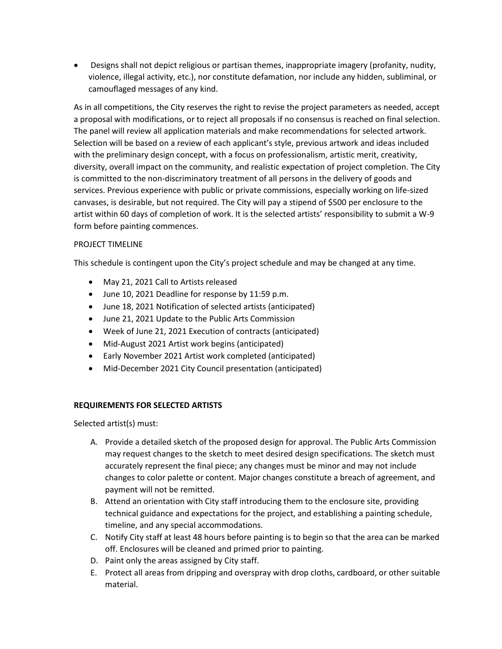• Designs shall not depict religious or partisan themes, inappropriate imagery (profanity, nudity, violence, illegal activity, etc.), nor constitute defamation, nor include any hidden, subliminal, or camouflaged messages of any kind.

As in all competitions, the City reserves the right to revise the project parameters as needed, accept a proposal with modifications, or to reject all proposals if no consensus is reached on final selection. The panel will review all application materials and make recommendations for selected artwork. Selection will be based on a review of each applicant's style, previous artwork and ideas included with the preliminary design concept, with a focus on professionalism, artistic merit, creativity, diversity, overall impact on the community, and realistic expectation of project completion. The City is committed to the non-discriminatory treatment of all persons in the delivery of goods and services. Previous experience with public or private commissions, especially working on life-sized canvases, is desirable, but not required. The City will pay a stipend of \$500 per enclosure to the artist within 60 days of completion of work. It is the selected artists' responsibility to submit a W-9 form before painting commences.

### PROJECT TIMELINE

This schedule is contingent upon the City's project schedule and may be changed at any time.

- May 21, 2021 Call to Artists released
- June 10, 2021 Deadline for response by 11:59 p.m.
- June 18, 2021 Notification of selected artists (anticipated)
- June 21, 2021 Update to the Public Arts Commission
- Week of June 21, 2021 Execution of contracts (anticipated)
- Mid-August 2021 Artist work begins (anticipated)
- Early November 2021 Artist work completed (anticipated)
- Mid-December 2021 City Council presentation (anticipated)

## **REQUIREMENTS FOR SELECTED ARTISTS**

Selected artist(s) must:

- A. Provide a detailed sketch of the proposed design for approval. The Public Arts Commission may request changes to the sketch to meet desired design specifications. The sketch must accurately represent the final piece; any changes must be minor and may not include changes to color palette or content. Major changes constitute a breach of agreement, and payment will not be remitted.
- B. Attend an orientation with City staff introducing them to the enclosure site, providing technical guidance and expectations for the project, and establishing a painting schedule, timeline, and any special accommodations.
- C. Notify City staff at least 48 hours before painting is to begin so that the area can be marked off. Enclosures will be cleaned and primed prior to painting.
- D. Paint only the areas assigned by City staff.
- E. Protect all areas from dripping and overspray with drop cloths, cardboard, or other suitable material.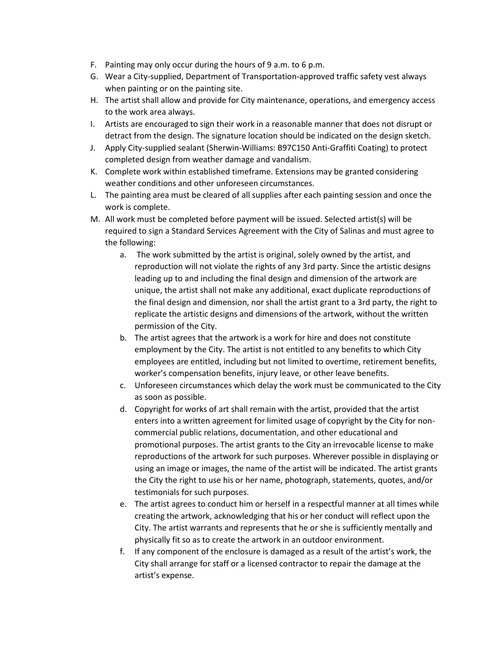- F. Painting may only occur during the hours of 9 a.m. to 6 p.m.
- G. Wear a City-supplied, Department of Transportation-approved traffic safety vest always when painting or on the painting site.
- H. The artist shall allow and provide for City maintenance, operations, and emergency access to the work area always.
- I. Artists are encouraged to sign their work in a reasonable manner that does not disrupt or detract from the design. The signature location should be indicated on the design sketch.
- J. Apply City-supplied sealant (Sherwin-Williams: B97C150 Anti-Graffiti Coating) to protect completed design from weather damage and vandalism.
- K. Complete work within established timeframe. Extensions may be granted considering weather conditions and other unforeseen circumstances.
- L. The painting area must be cleared of all supplies after each painting session and once the work is complete.
- M. All work must be completed before payment will be issued. Selected artist(s) will be required to sign a Standard Services Agreement with the City of Salinas and must agree to the following:
	- a. The work submitted by the artist is original, solely owned by the artist, and reproduction will not violate the rights of any 3rd party. Since the artistic designs leading up to and including the final design and dimension of the artwork are unique, the artist shall not make any additional, exact duplicate reproductions of the final design and dimension, nor shall the artist grant to a 3rd party, the right to replicate the artistic designs and dimensions of the artwork, without the written permission of the City.
	- b. The artist agrees that the artwork is a work for hire and does not constitute employment by the City. The artist is not entitled to any benefits to which City employees are entitled, including but not limited to overtime, retirement benefits, worker's compensation benefits, injury leave, or other leave benefits.
	- c. Unforeseen circumstances which delay the work must be communicated to the City as soon as possible.
	- d. Copyright for works of art shall remain with the artist, provided that the artist enters into a written agreement for limited usage of copyright by the City for noncommercial public relations, documentation, and other educational and promotional purposes. The artist grants to the City an irrevocable license to make reproductions of the artwork for such purposes. Wherever possible in displaying or using an image or images, the name of the artist will be indicated. The artist grants the City the right to use his or her name, photograph, statements, quotes, and/or testimonials for such purposes.
	- e. The artist agrees to conduct him or herself in a respectful manner at all times while creating the artwork, acknowledging that his or her conduct will reflect upon the City. The artist warrants and represents that he or she is sufficiently mentally and physically fit so as to create the artwork in an outdoor environment.
	- f. If any component of the enclosure is damaged as a result of the artist's work, the City shall arrange for staff or a licensed contractor to repair the damage at the artist's expense.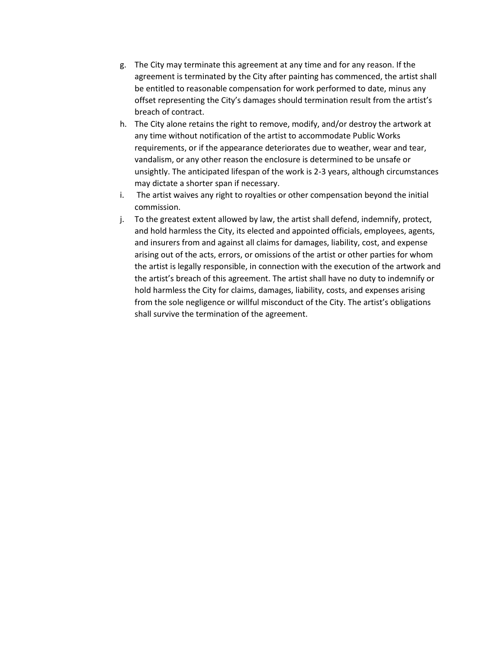- g. The City may terminate this agreement at any time and for any reason. If the agreement is terminated by the City after painting has commenced, the artist shall be entitled to reasonable compensation for work performed to date, minus any offset representing the City's damages should termination result from the artist's breach of contract.
- h. The City alone retains the right to remove, modify, and/or destroy the artwork at any time without notification of the artist to accommodate Public Works requirements, or if the appearance deteriorates due to weather, wear and tear, vandalism, or any other reason the enclosure is determined to be unsafe or unsightly. The anticipated lifespan of the work is 2-3 years, although circumstances may dictate a shorter span if necessary.
- i. The artist waives any right to royalties or other compensation beyond the initial commission.
- j. To the greatest extent allowed by law, the artist shall defend, indemnify, protect, and hold harmless the City, its elected and appointed officials, employees, agents, and insurers from and against all claims for damages, liability, cost, and expense arising out of the acts, errors, or omissions of the artist or other parties for whom the artist is legally responsible, in connection with the execution of the artwork and the artist's breach of this agreement. The artist shall have no duty to indemnify or hold harmless the City for claims, damages, liability, costs, and expenses arising from the sole negligence or willful misconduct of the City. The artist's obligations shall survive the termination of the agreement.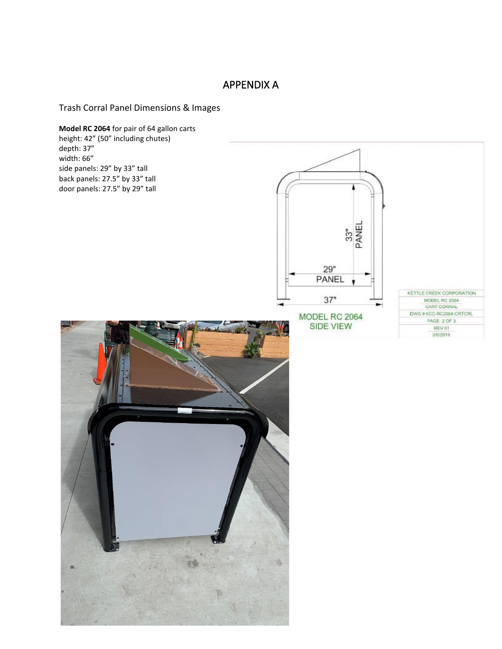# APPENDIX A

Trash Corral Panel Dimensions & Images

**Model RC 2064** for pair of 64 gallon carts height: 42" (50" including chutes) depth: 37" width: 66" side panels: 29" by 33" tall back panels: 27.5" by 33" tall door panels: 27.5" by 29" tall33"<br>PANEL 29" PANEL KETTLE CREEK CORPORATION  $37"$ MODEL RC 2064 CART CORRAL DWG # KCC-RC2064-CRTCRL MODEL RC 2064 PAGE 2 OF 3 **SIDE VIEW** REV 01 2/6/2019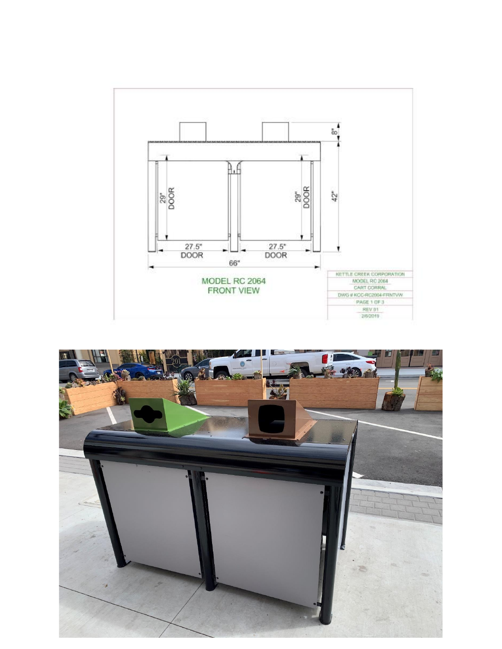